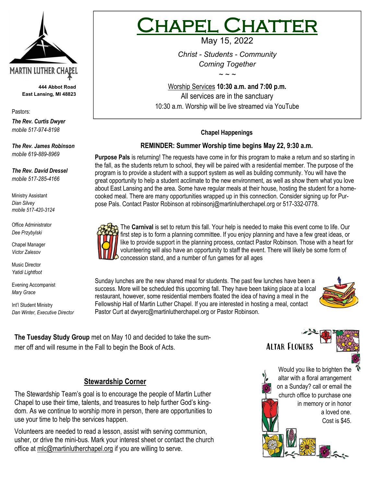

**444 Abbot Road East Lansing, MI 48823**

Pastors:

*The Rev. Curtis Dwyer mobile 517-974-8198*

*The Rev. James Robinson mobile 619-889-8969*

*The Rev. David Dressel mobile 517-285-4166*

Ministry Assistant *Dian Silvey mobile 517-420-3124*

Office Administrator *Dee Przybylski*

Chapel Manager *Victor Zalesov*

Music Director *Yatidi Lightfoot* 

Evening Accompanist *Mary Grace*

Int'l Student Ministry *Dan Winter, Executive Director*

# **IAPEL CHATT**

May 15, 2022

*Christ - Students - Community Coming Together*

Worship Services **10:30 a.m. and 7:00 p.m.**  All services are in the sanctuary 10:30 a.m. Worship will be live streamed via YouTube

*~ ~ ~*

#### **Chapel Happenings**

#### **REMINDER: Summer Worship time begins May 22, 9:30 a.m.**

**Purpose Pals** is returning! The requests have come in for this program to make a return and so starting in the fall, as the students return to school, they will be paired with a residential member. The purpose of the program is to provide a student with a support system as well as building community. You will have the great opportunity to help a student acclimate to the new environment, as well as show them what you love about East Lansing and the area. Some have regular meals at their house, hosting the student for a homecooked meal. There are many opportunities wrapped up in this connection. Consider signing up for Purpose Pals. Contact Pastor Robinson at [robinsonj@martinlutherchapel.org](mailto:robinsonj@martinlutherchapel.org) or 517-332-0778.



The **Carnival** is set to return this fall. Your help is needed to make this event come to life. Our first step is to form a planning committee. If you enjoy planning and have a few great ideas, or like to provide support in the planning process, contact Pastor Robinson. Those with a heart for volunteering will also have an opportunity to staff the event. There will likely be some form of concession stand, and a number of fun games for all ages

Sunday lunches are the new shared meal for students. The past few lunches have been a success. More will be scheduled this upcoming fall. They have been taking place at a local restaurant, however, some residential members floated the idea of having a meal in the Fellowship Hall of Martin Luther Chapel. If you are interested in hosting a meal, contact Pastor Curt at [dwyerc@martinlutherchapel.org](mailto:dwyerc@martinlutherchapel.org) or Pastor Robinson.



**The Tuesday Study Group** met on May 10 and decided to take the summer off and will resume in the Fall to begin the Book of Acts.

## **Stewardship Corner**

The Stewardship Team's goal is to encourage the people of Martin Luther Chapel to use their time, talents, and treasures to help further God's kingdom. As we continue to worship more in person, there are opportunities to use your time to help the services happen.

Volunteers are needed to read a lesson, assist with serving communion, usher, or drive the mini-bus. Mark your interest sheet or contact the church office at mlc@martinlutherchapel.org if you are willing to serve.

Would you like to brighten the altar with a floral arrangement on a Sunday? call or email the church office to purchase one in memory or in honor a loved one. Cost is \$45. やくこ

Altar Flowers